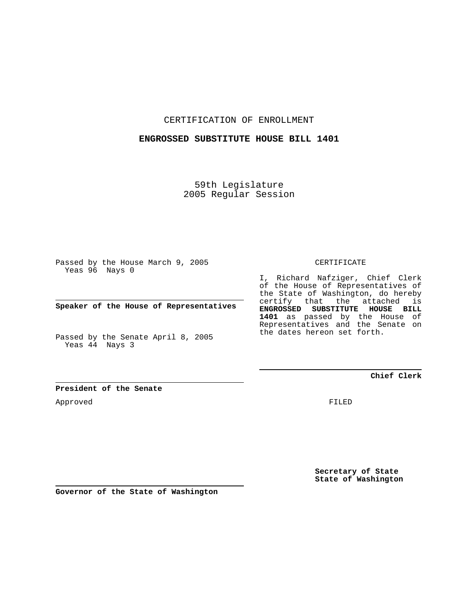CERTIFICATION OF ENROLLMENT

## **ENGROSSED SUBSTITUTE HOUSE BILL 1401**

59th Legislature 2005 Regular Session

Passed by the House March 9, 2005 Yeas 96 Nays 0

**Speaker of the House of Representatives**

Passed by the Senate April 8, 2005 Yeas 44 Nays 3

CERTIFICATE

I, Richard Nafziger, Chief Clerk of the House of Representatives of the State of Washington, do hereby certify that the attached is **ENGROSSED SUBSTITUTE HOUSE BILL 1401** as passed by the House of Representatives and the Senate on the dates hereon set forth.

## **Chief Clerk**

**President of the Senate**

Approved

FILED

**Secretary of State State of Washington**

**Governor of the State of Washington**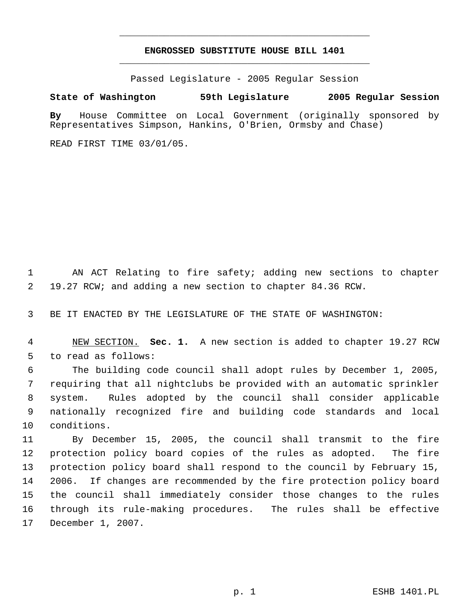## **ENGROSSED SUBSTITUTE HOUSE BILL 1401** \_\_\_\_\_\_\_\_\_\_\_\_\_\_\_\_\_\_\_\_\_\_\_\_\_\_\_\_\_\_\_\_\_\_\_\_\_\_\_\_\_\_\_\_\_

\_\_\_\_\_\_\_\_\_\_\_\_\_\_\_\_\_\_\_\_\_\_\_\_\_\_\_\_\_\_\_\_\_\_\_\_\_\_\_\_\_\_\_\_\_

Passed Legislature - 2005 Regular Session

## **State of Washington 59th Legislature 2005 Regular Session**

**By** House Committee on Local Government (originally sponsored by Representatives Simpson, Hankins, O'Brien, Ormsby and Chase)

READ FIRST TIME 03/01/05.

 AN ACT Relating to fire safety; adding new sections to chapter 19.27 RCW; and adding a new section to chapter 84.36 RCW.

BE IT ENACTED BY THE LEGISLATURE OF THE STATE OF WASHINGTON:

 NEW SECTION. **Sec. 1.** A new section is added to chapter 19.27 RCW to read as follows:

 The building code council shall adopt rules by December 1, 2005, requiring that all nightclubs be provided with an automatic sprinkler system. Rules adopted by the council shall consider applicable nationally recognized fire and building code standards and local conditions.

 By December 15, 2005, the council shall transmit to the fire protection policy board copies of the rules as adopted. The fire protection policy board shall respond to the council by February 15, 2006. If changes are recommended by the fire protection policy board the council shall immediately consider those changes to the rules through its rule-making procedures. The rules shall be effective December 1, 2007.